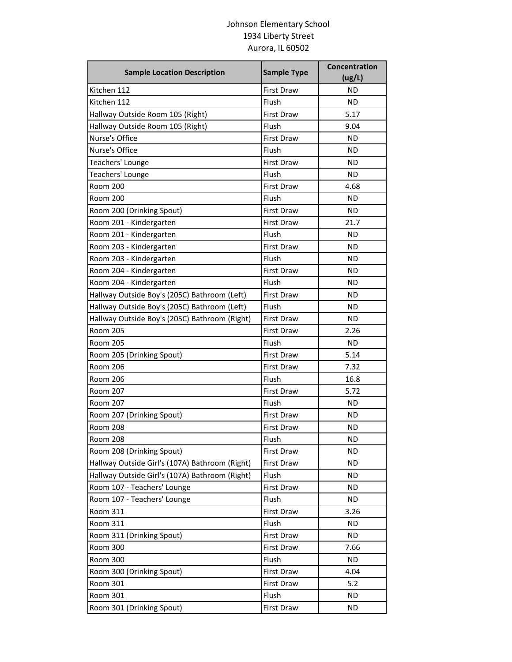## Johnson Elementary School 1934 Liberty Street Aurora, IL 60502

| <b>Sample Location Description</b>             | <b>Sample Type</b> | Concentration<br>(ug/L) |
|------------------------------------------------|--------------------|-------------------------|
| Kitchen 112                                    | <b>First Draw</b>  | ND                      |
| Kitchen 112                                    | Flush              | ND                      |
| Hallway Outside Room 105 (Right)               | First Draw         | 5.17                    |
| Hallway Outside Room 105 (Right)               | Flush              | 9.04                    |
| Nurse's Office                                 | <b>First Draw</b>  | ND                      |
| Nurse's Office                                 | Flush              | ND                      |
| Teachers' Lounge                               | <b>First Draw</b>  | ΝD                      |
| Teachers' Lounge                               | Flush              | <b>ND</b>               |
| <b>Room 200</b>                                | <b>First Draw</b>  | 4.68                    |
| Room 200                                       | Flush              | ND                      |
| Room 200 (Drinking Spout)                      | <b>First Draw</b>  | ND                      |
| Room 201 - Kindergarten                        | <b>First Draw</b>  | 21.7                    |
| Room 201 - Kindergarten                        | Flush              | <b>ND</b>               |
| Room 203 - Kindergarten                        | <b>First Draw</b>  | ND                      |
| Room 203 - Kindergarten                        | Flush              | ND                      |
| Room 204 - Kindergarten                        | <b>First Draw</b>  | ND                      |
| Room 204 - Kindergarten                        | Flush              | ΝD                      |
| Hallway Outside Boy's (205C) Bathroom (Left)   | <b>First Draw</b>  | <b>ND</b>               |
| Hallway Outside Boy's (205C) Bathroom (Left)   | Flush              | ND                      |
| Hallway Outside Boy's (205C) Bathroom (Right)  | <b>First Draw</b>  | ND                      |
| <b>Room 205</b>                                | <b>First Draw</b>  | 2.26                    |
| <b>Room 205</b>                                | Flush              | ND                      |
| Room 205 (Drinking Spout)                      | <b>First Draw</b>  | 5.14                    |
| <b>Room 206</b>                                | <b>First Draw</b>  | 7.32                    |
| <b>Room 206</b>                                | Flush              | 16.8                    |
| <b>Room 207</b>                                | First Draw         | 5.72                    |
| <b>Room 207</b>                                | Flush              | ND                      |
| Room 207 (Drinking Spout)                      | <b>First Draw</b>  | <b>ND</b>               |
| <b>Room 208</b>                                | <b>First Draw</b>  | ΝD                      |
| Room 208                                       | Flush              | <b>ND</b>               |
| Room 208 (Drinking Spout)                      | <b>First Draw</b>  | <b>ND</b>               |
| Hallway Outside Girl's (107A) Bathroom (Right) | First Draw         | <b>ND</b>               |
| Hallway Outside Girl's (107A) Bathroom (Right) | Flush              | <b>ND</b>               |
| Room 107 - Teachers' Lounge                    | <b>First Draw</b>  | <b>ND</b>               |
| Room 107 - Teachers' Lounge                    | Flush              | <b>ND</b>               |
| <b>Room 311</b>                                | First Draw         | 3.26                    |
| <b>Room 311</b>                                | Flush              | <b>ND</b>               |
| Room 311 (Drinking Spout)                      | First Draw         | <b>ND</b>               |
| Room 300                                       | First Draw         | 7.66                    |
| Room 300                                       | Flush              | <b>ND</b>               |
| Room 300 (Drinking Spout)                      | First Draw         | 4.04                    |
| <b>Room 301</b>                                | First Draw         | 5.2                     |
| Room 301                                       | Flush              | <b>ND</b>               |
| Room 301 (Drinking Spout)                      | First Draw         | <b>ND</b>               |